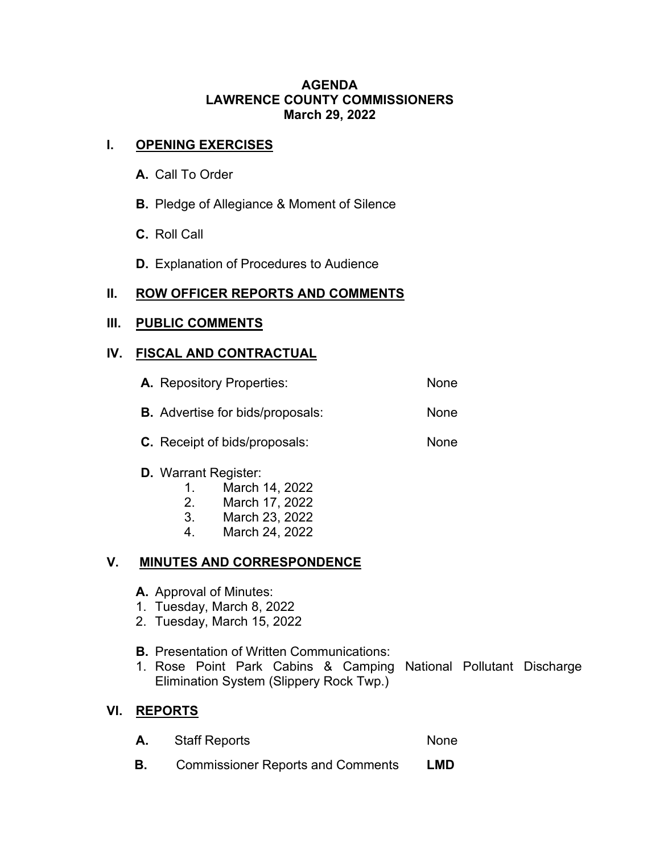#### **AGENDA LAWRENCE COUNTY COMMISSIONERS March 29, 2022**

## **I. OPENING EXERCISES**

- **A.** Call To Order
- **B.** Pledge of Allegiance & Moment of Silence
- **C.** Roll Call
- **D.** Explanation of Procedures to Audience

# **II. ROW OFFICER REPORTS AND COMMENTS**

## **III. PUBLIC COMMENTS**

## **IV. FISCAL AND CONTRACTUAL**

| <b>A.</b> Repository Properties:        | None |
|-----------------------------------------|------|
| <b>B.</b> Advertise for bids/proposals: | None |

**C.** Receipt of bids/proposals: None

# **D.** Warrant Register:

- 1. March 14, 2022
- 2. March 17, 2022
- March 23, 2022
- 4. March 24, 2022

# **V. MINUTES AND CORRESPONDENCE**

- **A.** Approval of Minutes:
- 1. Tuesday, March 8, 2022
- 2. Tuesday, March 15, 2022
- **B.** Presentation of Written Communications:
- 1. Rose Point Park Cabins & Camping National Pollutant Discharge Elimination System (Slippery Rock Twp.)

# **VI. REPORTS**

| А. | <b>Staff Reports</b> | None |
|----|----------------------|------|
|    |                      |      |

**B.** Commissioner Reports and Comments **LMD**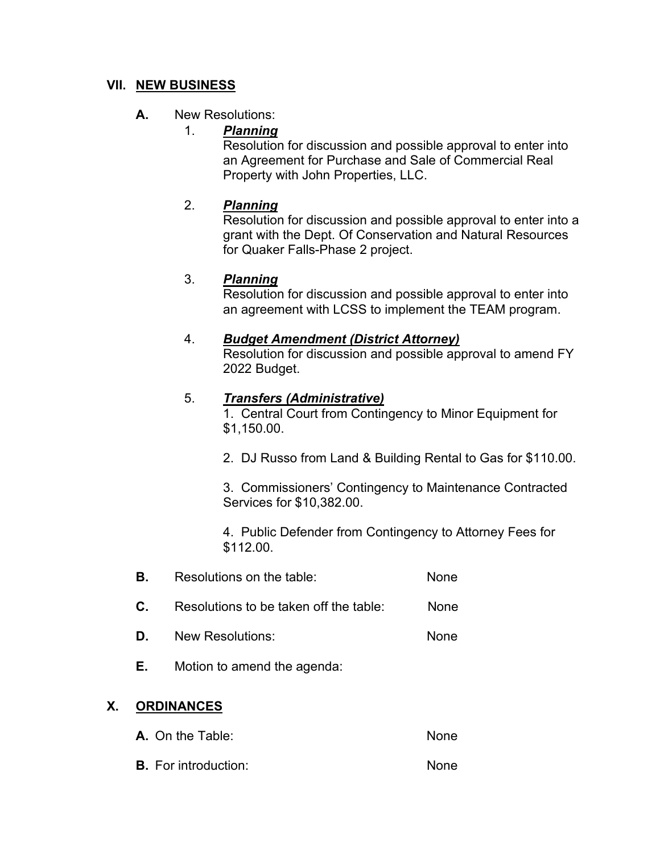## **VII. NEW BUSINESS**

## **A.** New Resolutions:

## 1. *Planning*

Resolution for discussion and possible approval to enter into an Agreement for Purchase and Sale of Commercial Real Property with John Properties, LLC.

#### 2. *Planning*

Resolution for discussion and possible approval to enter into a grant with the Dept. Of Conservation and Natural Resources for Quaker Falls-Phase 2 project.

## 3. *Planning*

Resolution for discussion and possible approval to enter into an agreement with LCSS to implement the TEAM program.

#### 4. *Budget Amendment (District Attorney)*

Resolution for discussion and possible approval to amend FY 2022 Budget.

#### 5. *Transfers (Administrative)*

1. Central Court from Contingency to Minor Equipment for \$1,150.00.

2. DJ Russo from Land & Building Rental to Gas for \$110.00.

3. Commissioners' Contingency to Maintenance Contracted Services for \$10,382.00.

4. Public Defender from Contingency to Attorney Fees for \$112.00.

- **B.** Resolutions on the table: None
- **C.** Resolutions to be taken off the table: None
- **D.** New Resolutions: None
- **E.** Motion to amend the agenda:

# **X. ORDINANCES**

- **A.** On the Table: None
- **B.** For introduction: None